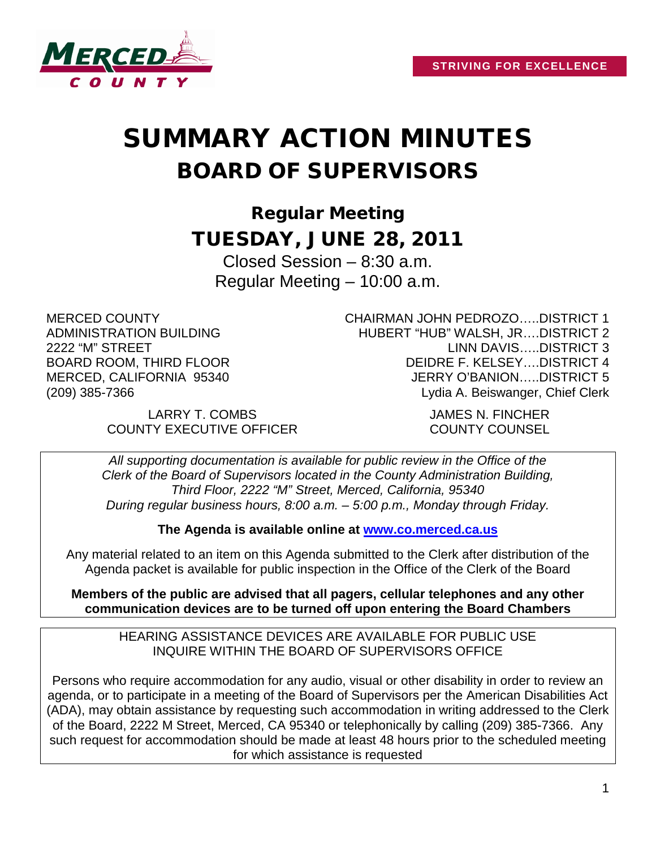

# SUMMARY ACTION MINUTES BOARD OF SUPERVISORS

Regular Meeting TUESDAY, JUNE 28, 2011

Closed Session – 8:30 a.m. Regular Meeting – 10:00 a.m.

MERCED COUNTY ADMINISTRATION BUILDING 2222 "M" STREET BOARD ROOM, THIRD FLOOR MERCED, CALIFORNIA 95340 (209) 385-7366

CHAIRMAN JOHN PEDROZO…..DISTRICT 1 HUBERT "HUB" WALSH, JR….DISTRICT 2 LINN DAVIS…..DISTRICT 3 DEIDRE F. KELSEY….DISTRICT 4 JERRY O'BANION…..DISTRICT 5 Lydia A. Beiswanger, Chief Clerk

LARRY T. COMBS JAMES N. FINCHER COUNTY EXECUTIVE OFFICER COUNTY COUNSEL

*All supporting documentation is available for public review in the Office of the Clerk of the Board of Supervisors located in the County Administration Building, Third Floor, 2222 "M" Street, Merced, California, 95340 During regular business hours, 8:00 a.m. – 5:00 p.m., Monday through Friday.*

**The Agenda is available online at [www.co.merced.ca.us](http://www.co.merced.ca.us/)**

Any material related to an item on this Agenda submitted to the Clerk after distribution of the Agenda packet is available for public inspection in the Office of the Clerk of the Board

**Members of the public are advised that all pagers, cellular telephones and any other communication devices are to be turned off upon entering the Board Chambers**

HEARING ASSISTANCE DEVICES ARE AVAILABLE FOR PUBLIC USE INQUIRE WITHIN THE BOARD OF SUPERVISORS OFFICE

Persons who require accommodation for any audio, visual or other disability in order to review an agenda, or to participate in a meeting of the Board of Supervisors per the American Disabilities Act (ADA), may obtain assistance by requesting such accommodation in writing addressed to the Clerk of the Board, 2222 M Street, Merced, CA 95340 or telephonically by calling (209) 385-7366. Any such request for accommodation should be made at least 48 hours prior to the scheduled meeting for which assistance is requested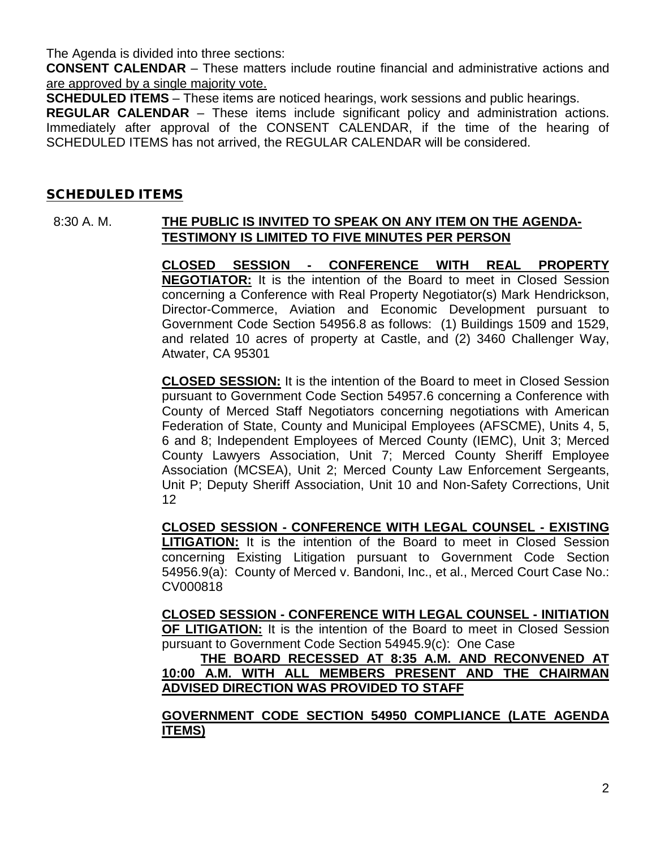The Agenda is divided into three sections:

**CONSENT CALENDAR** – These matters include routine financial and administrative actions and are approved by a single majority vote.

**SCHEDULED ITEMS** – These items are noticed hearings, work sessions and public hearings.

**REGULAR CALENDAR** – These items include significant policy and administration actions. Immediately after approval of the CONSENT CALENDAR, if the time of the hearing of SCHEDULED ITEMS has not arrived, the REGULAR CALENDAR will be considered.

#### SCHEDULED ITEMS

#### 8:30 A. M. **THE PUBLIC IS INVITED TO SPEAK ON ANY ITEM ON THE AGENDA-TESTIMONY IS LIMITED TO FIVE MINUTES PER PERSON**

**CLOSED SESSION - CONFERENCE WITH REAL PROPERTY NEGOTIATOR:** It is the intention of the Board to meet in Closed Session concerning a Conference with Real Property Negotiator(s) Mark Hendrickson, Director-Commerce, Aviation and Economic Development pursuant to Government Code Section 54956.8 as follows: (1) Buildings 1509 and 1529, and related 10 acres of property at Castle, and (2) 3460 Challenger Way, Atwater, CA 95301

**CLOSED SESSION:** It is the intention of the Board to meet in Closed Session pursuant to Government Code Section 54957.6 concerning a Conference with County of Merced Staff Negotiators concerning negotiations with American Federation of State, County and Municipal Employees (AFSCME), Units 4, 5, 6 and 8; Independent Employees of Merced County (IEMC), Unit 3; Merced County Lawyers Association, Unit 7; Merced County Sheriff Employee Association (MCSEA), Unit 2; Merced County Law Enforcement Sergeants, Unit P; Deputy Sheriff Association, Unit 10 and Non-Safety Corrections, Unit 12

**CLOSED SESSION - CONFERENCE WITH LEGAL COUNSEL - EXISTING LITIGATION:** It is the intention of the Board to meet in Closed Session concerning Existing Litigation pursuant to Government Code Section 54956.9(a): County of Merced v. Bandoni, Inc., et al., Merced Court Case No.: CV000818

**CLOSED SESSION - CONFERENCE WITH LEGAL COUNSEL - INITIATION OF LITIGATION:** It is the intention of the Board to meet in Closed Session pursuant to Government Code Section 54945.9(c): One Case

#### **THE BOARD RECESSED AT 8:35 A.M. AND RECONVENED AT 10:00 A.M. WITH ALL MEMBERS PRESENT AND THE CHAIRMAN ADVISED DIRECTION WAS PROVIDED TO STAFF**

**GOVERNMENT CODE SECTION 54950 COMPLIANCE (LATE AGENDA ITEMS)**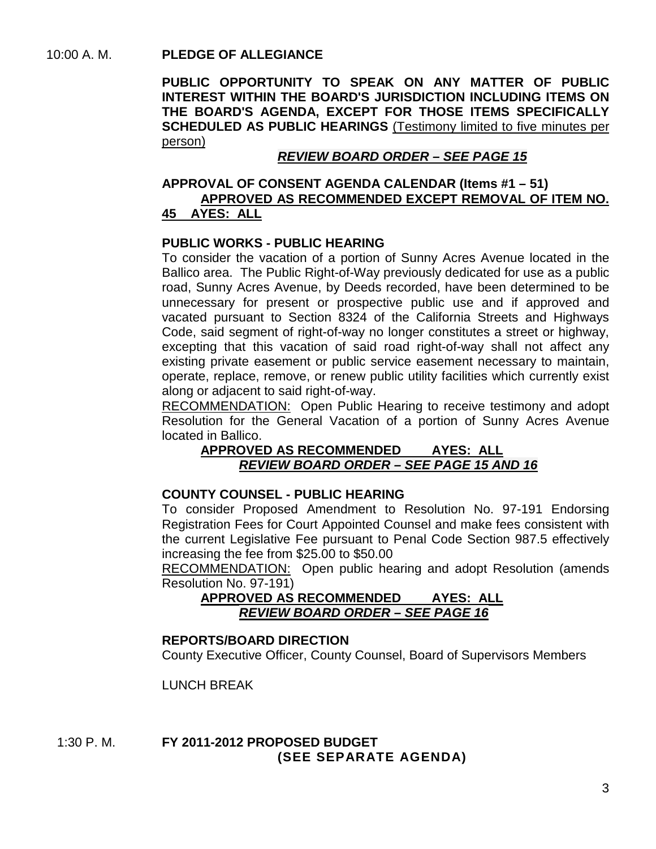#### 10:00 A. M. **PLEDGE OF ALLEGIANCE**

**PUBLIC OPPORTUNITY TO SPEAK ON ANY MATTER OF PUBLIC INTEREST WITHIN THE BOARD'S JURISDICTION INCLUDING ITEMS ON THE BOARD'S AGENDA, EXCEPT FOR THOSE ITEMS SPECIFICALLY SCHEDULED AS PUBLIC HEARINGS** (Testimony limited to five minutes per person)

#### *REVIEW BOARD ORDER – SEE PAGE 15*

#### **APPROVAL OF CONSENT AGENDA CALENDAR (Items #1 – 51) APPROVED AS RECOMMENDED EXCEPT REMOVAL OF ITEM NO. 45 AYES: ALL**

#### **PUBLIC WORKS - PUBLIC HEARING**

To consider the vacation of a portion of Sunny Acres Avenue located in the Ballico area. The Public Right-of-Way previously dedicated for use as a public road, Sunny Acres Avenue, by Deeds recorded, have been determined to be unnecessary for present or prospective public use and if approved and vacated pursuant to Section 8324 of the California Streets and Highways Code, said segment of right-of-way no longer constitutes a street or highway, excepting that this vacation of said road right-of-way shall not affect any existing private easement or public service easement necessary to maintain, operate, replace, remove, or renew public utility facilities which currently exist along or adjacent to said right-of-way.

RECOMMENDATION: Open Public Hearing to receive testimony and adopt Resolution for the General Vacation of a portion of Sunny Acres Avenue located in Ballico.

#### **APPROVED AS RECOMMENDED AYES: ALL** *REVIEW BOARD ORDER – SEE PAGE 15 AND 16*

#### **COUNTY COUNSEL - PUBLIC HEARING**

To consider Proposed Amendment to Resolution No. 97-191 Endorsing Registration Fees for Court Appointed Counsel and make fees consistent with the current Legislative Fee pursuant to Penal Code Section 987.5 effectively increasing the fee from \$25.00 to \$50.00

RECOMMENDATION: Open public hearing and adopt Resolution (amends Resolution No. 97-191)

#### **APPROVED AS RECOMMENDED AYES: ALL** *REVIEW BOARD ORDER – SEE PAGE 16*

#### **REPORTS/BOARD DIRECTION**

County Executive Officer, County Counsel, Board of Supervisors Members

LUNCH BREAK

1:30 P. M. **FY 2011-2012 PROPOSED BUDGET (SEE SEPARATE AGENDA)**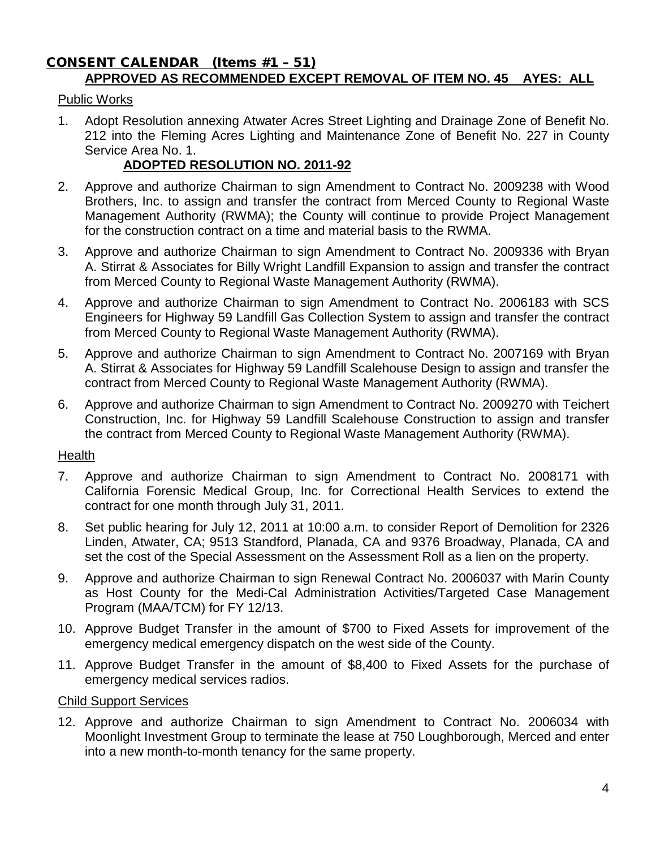# CONSENT CALENDAR (Items #1 – 51) **APPROVED AS RECOMMENDED EXCEPT REMOVAL OF ITEM NO. 45 AYES: ALL**

#### Public Works

1. Adopt Resolution annexing Atwater Acres Street Lighting and Drainage Zone of Benefit No. 212 into the Fleming Acres Lighting and Maintenance Zone of Benefit No. 227 in County Service Area No. 1.

# **ADOPTED RESOLUTION NO. 2011-92**

- 2. Approve and authorize Chairman to sign Amendment to Contract No. 2009238 with Wood Brothers, Inc. to assign and transfer the contract from Merced County to Regional Waste Management Authority (RWMA); the County will continue to provide Project Management for the construction contract on a time and material basis to the RWMA.
- 3. Approve and authorize Chairman to sign Amendment to Contract No. 2009336 with Bryan A. Stirrat & Associates for Billy Wright Landfill Expansion to assign and transfer the contract from Merced County to Regional Waste Management Authority (RWMA).
- 4. Approve and authorize Chairman to sign Amendment to Contract No. 2006183 with SCS Engineers for Highway 59 Landfill Gas Collection System to assign and transfer the contract from Merced County to Regional Waste Management Authority (RWMA).
- 5. Approve and authorize Chairman to sign Amendment to Contract No. 2007169 with Bryan A. Stirrat & Associates for Highway 59 Landfill Scalehouse Design to assign and transfer the contract from Merced County to Regional Waste Management Authority (RWMA).
- 6. Approve and authorize Chairman to sign Amendment to Contract No. 2009270 with Teichert Construction, Inc. for Highway 59 Landfill Scalehouse Construction to assign and transfer the contract from Merced County to Regional Waste Management Authority (RWMA).

#### Health

- 7. Approve and authorize Chairman to sign Amendment to Contract No. 2008171 with California Forensic Medical Group, Inc. for Correctional Health Services to extend the contract for one month through July 31, 2011.
- 8. Set public hearing for July 12, 2011 at 10:00 a.m. to consider Report of Demolition for 2326 Linden, Atwater, CA; 9513 Standford, Planada, CA and 9376 Broadway, Planada, CA and set the cost of the Special Assessment on the Assessment Roll as a lien on the property.
- 9. Approve and authorize Chairman to sign Renewal Contract No. 2006037 with Marin County as Host County for the Medi-Cal Administration Activities/Targeted Case Management Program (MAA/TCM) for FY 12/13.
- 10. Approve Budget Transfer in the amount of \$700 to Fixed Assets for improvement of the emergency medical emergency dispatch on the west side of the County.
- 11. Approve Budget Transfer in the amount of \$8,400 to Fixed Assets for the purchase of emergency medical services radios.

#### Child Support Services

12. Approve and authorize Chairman to sign Amendment to Contract No. 2006034 with Moonlight Investment Group to terminate the lease at 750 Loughborough, Merced and enter into a new month-to-month tenancy for the same property.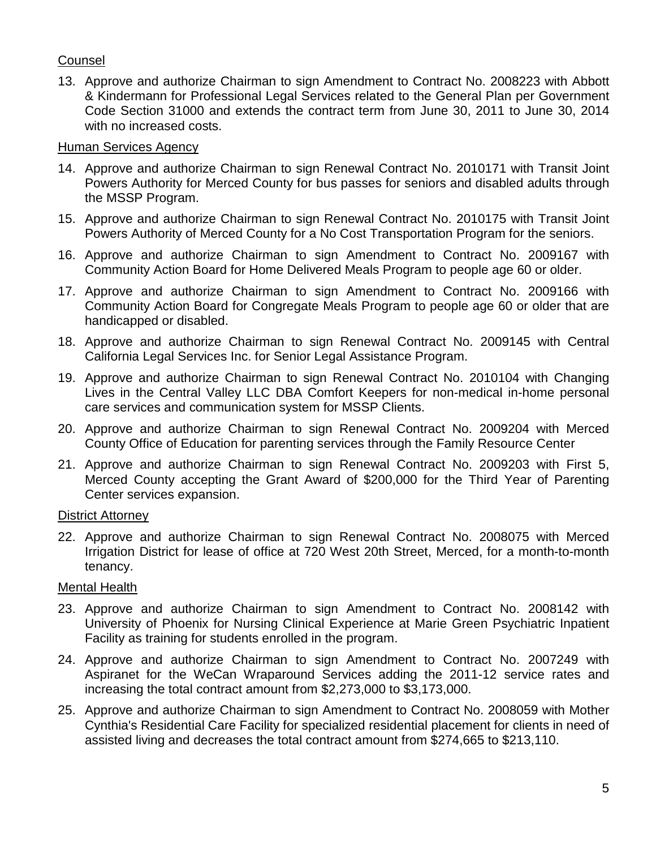# **Counsel**

13. Approve and authorize Chairman to sign Amendment to Contract No. 2008223 with Abbott & Kindermann for Professional Legal Services related to the General Plan per Government Code Section 31000 and extends the contract term from June 30, 2011 to June 30, 2014 with no increased costs.

#### Human Services Agency

- 14. Approve and authorize Chairman to sign Renewal Contract No. 2010171 with Transit Joint Powers Authority for Merced County for bus passes for seniors and disabled adults through the MSSP Program.
- 15. Approve and authorize Chairman to sign Renewal Contract No. 2010175 with Transit Joint Powers Authority of Merced County for a No Cost Transportation Program for the seniors.
- 16. Approve and authorize Chairman to sign Amendment to Contract No. 2009167 with Community Action Board for Home Delivered Meals Program to people age 60 or older.
- 17. Approve and authorize Chairman to sign Amendment to Contract No. 2009166 with Community Action Board for Congregate Meals Program to people age 60 or older that are handicapped or disabled.
- 18. Approve and authorize Chairman to sign Renewal Contract No. 2009145 with Central California Legal Services Inc. for Senior Legal Assistance Program.
- 19. Approve and authorize Chairman to sign Renewal Contract No. 2010104 with Changing Lives in the Central Valley LLC DBA Comfort Keepers for non-medical in-home personal care services and communication system for MSSP Clients.
- 20. Approve and authorize Chairman to sign Renewal Contract No. 2009204 with Merced County Office of Education for parenting services through the Family Resource Center
- 21. Approve and authorize Chairman to sign Renewal Contract No. 2009203 with First 5, Merced County accepting the Grant Award of \$200,000 for the Third Year of Parenting Center services expansion.

#### District Attorney

22. Approve and authorize Chairman to sign Renewal Contract No. 2008075 with Merced Irrigation District for lease of office at 720 West 20th Street, Merced, for a month-to-month tenancy.

#### Mental Health

- 23. Approve and authorize Chairman to sign Amendment to Contract No. 2008142 with University of Phoenix for Nursing Clinical Experience at Marie Green Psychiatric Inpatient Facility as training for students enrolled in the program.
- 24. Approve and authorize Chairman to sign Amendment to Contract No. 2007249 with Aspiranet for the WeCan Wraparound Services adding the 2011-12 service rates and increasing the total contract amount from \$2,273,000 to \$3,173,000.
- 25. Approve and authorize Chairman to sign Amendment to Contract No. 2008059 with Mother Cynthia's Residential Care Facility for specialized residential placement for clients in need of assisted living and decreases the total contract amount from \$274,665 to \$213,110.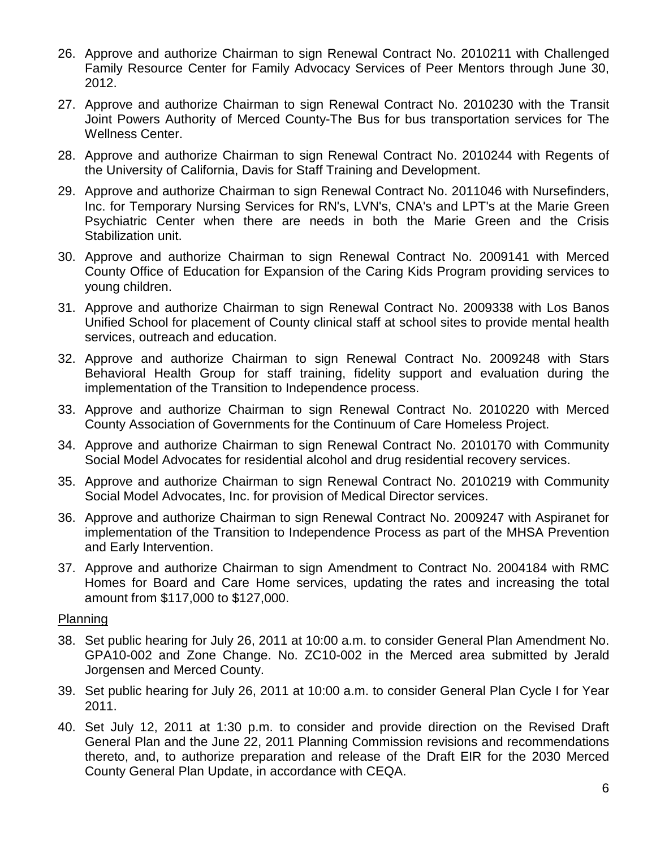- 26. Approve and authorize Chairman to sign Renewal Contract No. 2010211 with Challenged Family Resource Center for Family Advocacy Services of Peer Mentors through June 30, 2012.
- 27. Approve and authorize Chairman to sign Renewal Contract No. 2010230 with the Transit Joint Powers Authority of Merced County-The Bus for bus transportation services for The Wellness Center.
- 28. Approve and authorize Chairman to sign Renewal Contract No. 2010244 with Regents of the University of California, Davis for Staff Training and Development.
- 29. Approve and authorize Chairman to sign Renewal Contract No. 2011046 with Nursefinders, Inc. for Temporary Nursing Services for RN's, LVN's, CNA's and LPT's at the Marie Green Psychiatric Center when there are needs in both the Marie Green and the Crisis Stabilization unit.
- 30. Approve and authorize Chairman to sign Renewal Contract No. 2009141 with Merced County Office of Education for Expansion of the Caring Kids Program providing services to young children.
- 31. Approve and authorize Chairman to sign Renewal Contract No. 2009338 with Los Banos Unified School for placement of County clinical staff at school sites to provide mental health services, outreach and education.
- 32. Approve and authorize Chairman to sign Renewal Contract No. 2009248 with Stars Behavioral Health Group for staff training, fidelity support and evaluation during the implementation of the Transition to Independence process.
- 33. Approve and authorize Chairman to sign Renewal Contract No. 2010220 with Merced County Association of Governments for the Continuum of Care Homeless Project.
- 34. Approve and authorize Chairman to sign Renewal Contract No. 2010170 with Community Social Model Advocates for residential alcohol and drug residential recovery services.
- 35. Approve and authorize Chairman to sign Renewal Contract No. 2010219 with Community Social Model Advocates, Inc. for provision of Medical Director services.
- 36. Approve and authorize Chairman to sign Renewal Contract No. 2009247 with Aspiranet for implementation of the Transition to Independence Process as part of the MHSA Prevention and Early Intervention.
- 37. Approve and authorize Chairman to sign Amendment to Contract No. 2004184 with RMC Homes for Board and Care Home services, updating the rates and increasing the total amount from \$117,000 to \$127,000.

#### Planning

- 38. Set public hearing for July 26, 2011 at 10:00 a.m. to consider General Plan Amendment No. GPA10-002 and Zone Change. No. ZC10-002 in the Merced area submitted by Jerald Jorgensen and Merced County.
- 39. Set public hearing for July 26, 2011 at 10:00 a.m. to consider General Plan Cycle I for Year 2011.
- 40. Set July 12, 2011 at 1:30 p.m. to consider and provide direction on the Revised Draft General Plan and the June 22, 2011 Planning Commission revisions and recommendations thereto, and, to authorize preparation and release of the Draft EIR for the 2030 Merced County General Plan Update, in accordance with CEQA.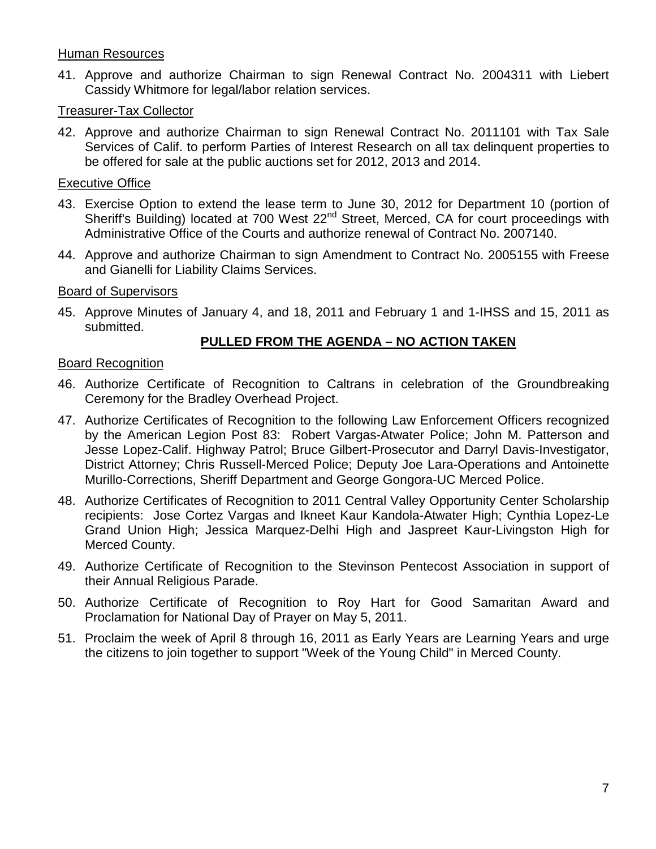#### Human Resources

41. Approve and authorize Chairman to sign Renewal Contract No. 2004311 with Liebert Cassidy Whitmore for legal/labor relation services.

#### Treasurer-Tax Collector

42. Approve and authorize Chairman to sign Renewal Contract No. 2011101 with Tax Sale Services of Calif. to perform Parties of Interest Research on all tax delinquent properties to be offered for sale at the public auctions set for 2012, 2013 and 2014.

#### Executive Office

- 43. Exercise Option to extend the lease term to June 30, 2012 for Department 10 (portion of Sheriff's Building) located at 700 West 22<sup>nd</sup> Street, Merced, CA for court proceedings with Administrative Office of the Courts and authorize renewal of Contract No. 2007140.
- 44. Approve and authorize Chairman to sign Amendment to Contract No. 2005155 with Freese and Gianelli for Liability Claims Services.

#### Board of Supervisors

45. Approve Minutes of January 4, and 18, 2011 and February 1 and 1-IHSS and 15, 2011 as submitted.

#### **PULLED FROM THE AGENDA – NO ACTION TAKEN**

#### Board Recognition

- 46. Authorize Certificate of Recognition to Caltrans in celebration of the Groundbreaking Ceremony for the Bradley Overhead Project.
- 47. Authorize Certificates of Recognition to the following Law Enforcement Officers recognized by the American Legion Post 83: Robert Vargas-Atwater Police; John M. Patterson and Jesse Lopez-Calif. Highway Patrol; Bruce Gilbert-Prosecutor and Darryl Davis-Investigator, District Attorney; Chris Russell-Merced Police; Deputy Joe Lara-Operations and Antoinette Murillo-Corrections, Sheriff Department and George Gongora-UC Merced Police.
- 48. Authorize Certificates of Recognition to 2011 Central Valley Opportunity Center Scholarship recipients: Jose Cortez Vargas and Ikneet Kaur Kandola-Atwater High; Cynthia Lopez-Le Grand Union High; Jessica Marquez-Delhi High and Jaspreet Kaur-Livingston High for Merced County.
- 49. Authorize Certificate of Recognition to the Stevinson Pentecost Association in support of their Annual Religious Parade.
- 50. Authorize Certificate of Recognition to Roy Hart for Good Samaritan Award and Proclamation for National Day of Prayer on May 5, 2011.
- 51. Proclaim the week of April 8 through 16, 2011 as Early Years are Learning Years and urge the citizens to join together to support "Week of the Young Child" in Merced County.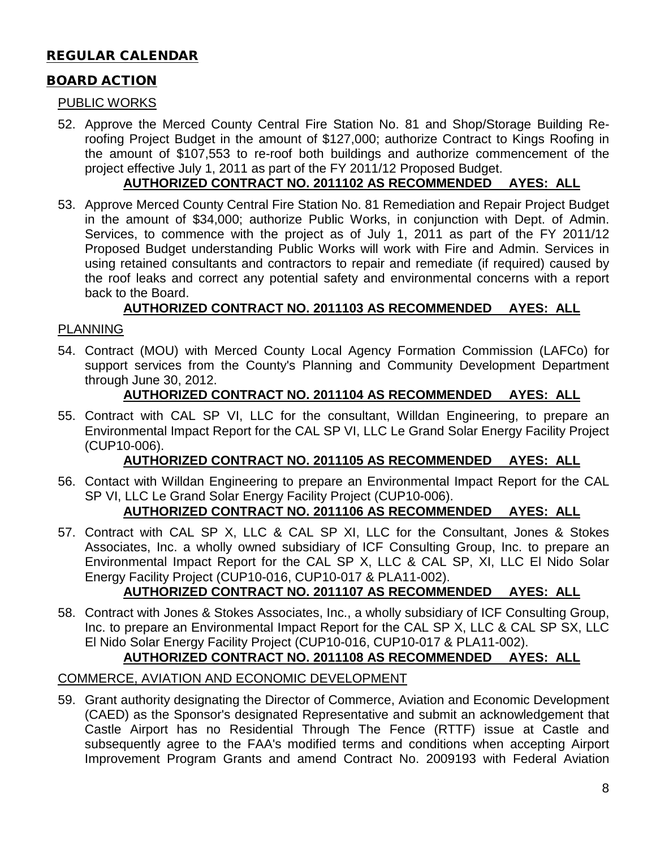# REGULAR CALENDAR

#### BOARD ACTION

#### PUBLIC WORKS

52. Approve the Merced County Central Fire Station No. 81 and Shop/Storage Building Reroofing Project Budget in the amount of \$127,000; authorize Contract to Kings Roofing in the amount of \$107,553 to re-roof both buildings and authorize commencement of the project effective July 1, 2011 as part of the FY 2011/12 Proposed Budget.

#### **AUTHORIZED CONTRACT NO. 2011102 AS RECOMMENDED AYES: ALL**

53. Approve Merced County Central Fire Station No. 81 Remediation and Repair Project Budget in the amount of \$34,000; authorize Public Works, in conjunction with Dept. of Admin. Services, to commence with the project as of July 1, 2011 as part of the FY 2011/12 Proposed Budget understanding Public Works will work with Fire and Admin. Services in using retained consultants and contractors to repair and remediate (if required) caused by the roof leaks and correct any potential safety and environmental concerns with a report back to the Board.

#### **AUTHORIZED CONTRACT NO. 2011103 AS RECOMMENDED AYES: ALL**

#### PLANNING

54. Contract (MOU) with Merced County Local Agency Formation Commission (LAFCo) for support services from the County's Planning and Community Development Department through June 30, 2012.

#### **AUTHORIZED CONTRACT NO. 2011104 AS RECOMMENDED AYES: ALL**

55. Contract with CAL SP VI, LLC for the consultant, Willdan Engineering, to prepare an Environmental Impact Report for the CAL SP VI, LLC Le Grand Solar Energy Facility Project (CUP10-006).

#### **AUTHORIZED CONTRACT NO. 2011105 AS RECOMMENDED AYES: ALL**

56. Contact with Willdan Engineering to prepare an Environmental Impact Report for the CAL SP VI, LLC Le Grand Solar Energy Facility Project (CUP10-006).

#### **AUTHORIZED CONTRACT NO. 2011106 AS RECOMMENDED AYES: ALL**

57. Contract with CAL SP X, LLC & CAL SP XI, LLC for the Consultant, Jones & Stokes Associates, Inc. a wholly owned subsidiary of ICF Consulting Group, Inc. to prepare an Environmental Impact Report for the CAL SP X, LLC & CAL SP, XI, LLC El Nido Solar Energy Facility Project (CUP10-016, CUP10-017 & PLA11-002).

# **AUTHORIZED CONTRACT NO. 2011107 AS RECOMMENDED AYES: ALL**

58. Contract with Jones & Stokes Associates, Inc., a wholly subsidiary of ICF Consulting Group, Inc. to prepare an Environmental Impact Report for the CAL SP X, LLC & CAL SP SX, LLC El Nido Solar Energy Facility Project (CUP10-016, CUP10-017 & PLA11-002). **AUTHORIZED CONTRACT NO. 2011108 AS RECOMMENDED AYES: ALL**

# COMMERCE, AVIATION AND ECONOMIC DEVELOPMENT

59. Grant authority designating the Director of Commerce, Aviation and Economic Development (CAED) as the Sponsor's designated Representative and submit an acknowledgement that Castle Airport has no Residential Through The Fence (RTTF) issue at Castle and subsequently agree to the FAA's modified terms and conditions when accepting Airport Improvement Program Grants and amend Contract No. 2009193 with Federal Aviation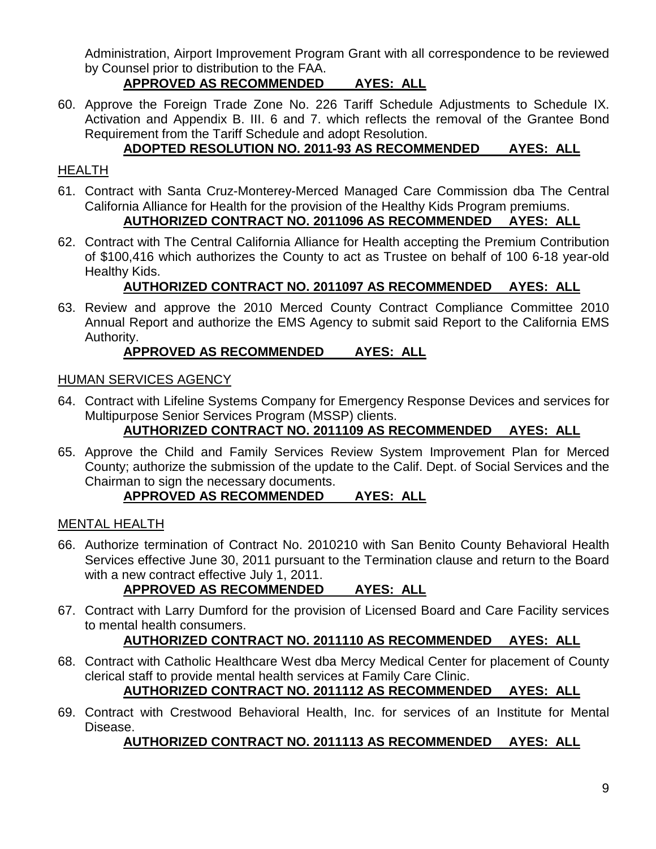Administration, Airport Improvement Program Grant with all correspondence to be reviewed by Counsel prior to distribution to the FAA.

# **APPROVED AS RECOMMENDED AYES: ALL**

60. Approve the Foreign Trade Zone No. 226 Tariff Schedule Adjustments to Schedule IX. Activation and Appendix B. III. 6 and 7. which reflects the removal of the Grantee Bond Requirement from the Tariff Schedule and adopt Resolution.

# **ADOPTED RESOLUTION NO. 2011-93 AS RECOMMENDED AYES: ALL**

#### HEALTH

- 61. Contract with Santa Cruz-Monterey-Merced Managed Care Commission dba The Central California Alliance for Health for the provision of the Healthy Kids Program premiums. **AUTHORIZED CONTRACT NO. 2011096 AS RECOMMENDED AYES: ALL**
- 62. Contract with The Central California Alliance for Health accepting the Premium Contribution of \$100,416 which authorizes the County to act as Trustee on behalf of 100 6-18 year-old Healthy Kids.

# **AUTHORIZED CONTRACT NO. 2011097 AS RECOMMENDED AYES: ALL**

63. Review and approve the 2010 Merced County Contract Compliance Committee 2010 Annual Report and authorize the EMS Agency to submit said Report to the California EMS Authority.

#### **APPROVED AS RECOMMENDED AYES: ALL**

#### HUMAN SERVICES AGENCY

64. Contract with Lifeline Systems Company for Emergency Response Devices and services for Multipurpose Senior Services Program (MSSP) clients.

# **AUTHORIZED CONTRACT NO. 2011109 AS RECOMMENDED AYES: ALL**

65. Approve the Child and Family Services Review System Improvement Plan for Merced County; authorize the submission of the update to the Calif. Dept. of Social Services and the Chairman to sign the necessary documents.

#### **APPROVED AS RECOMMENDED AYES: ALL**

#### MENTAL HEALTH

66. Authorize termination of Contract No. 2010210 with San Benito County Behavioral Health Services effective June 30, 2011 pursuant to the Termination clause and return to the Board with a new contract effective July 1, 2011.

# **APPROVED AS RECOMMENDED AYES: ALL**

67. Contract with Larry Dumford for the provision of Licensed Board and Care Facility services to mental health consumers.

# **AUTHORIZED CONTRACT NO. 2011110 AS RECOMMENDED AYES: ALL**

68. Contract with Catholic Healthcare West dba Mercy Medical Center for placement of County clerical staff to provide mental health services at Family Care Clinic.

# **AUTHORIZED CONTRACT NO. 2011112 AS RECOMMENDED AYES: ALL**

69. Contract with Crestwood Behavioral Health, Inc. for services of an Institute for Mental Disease.

# **AUTHORIZED CONTRACT NO. 2011113 AS RECOMMENDED AYES: ALL**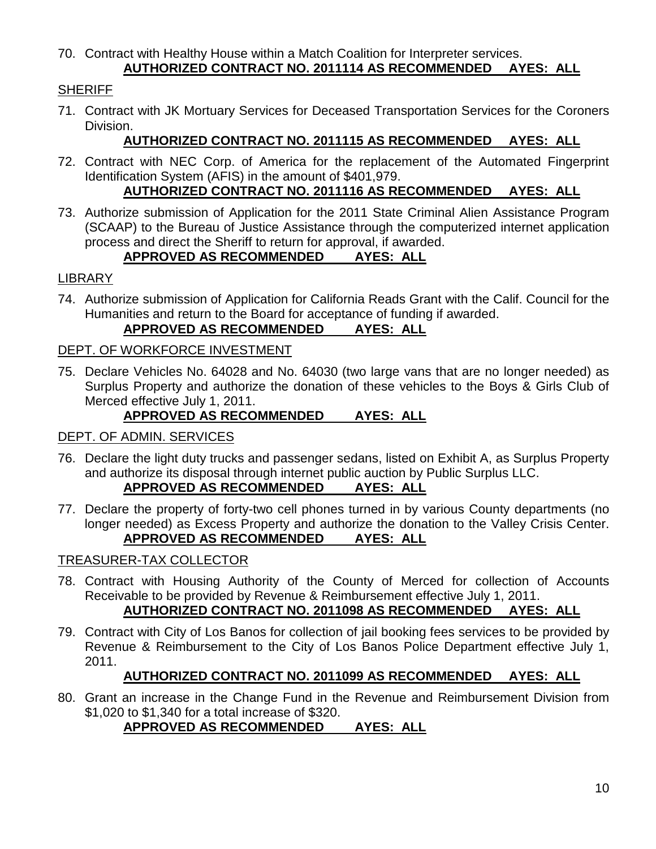#### 70. Contract with Healthy House within a Match Coalition for Interpreter services. **AUTHORIZED CONTRACT NO. 2011114 AS RECOMMENDED AYES: ALL**

# **SHERIFF**

71. Contract with JK Mortuary Services for Deceased Transportation Services for the Coroners Division.

# **AUTHORIZED CONTRACT NO. 2011115 AS RECOMMENDED AYES: ALL**

72. Contract with NEC Corp. of America for the replacement of the Automated Fingerprint Identification System (AFIS) in the amount of \$401,979.

# **AUTHORIZED CONTRACT NO. 2011116 AS RECOMMENDED AYES: ALL**

73. Authorize submission of Application for the 2011 State Criminal Alien Assistance Program (SCAAP) to the Bureau of Justice Assistance through the computerized internet application process and direct the Sheriff to return for approval, if awarded.

# **APPROVED AS RECOMMENDED AYES: ALL**

#### LIBRARY

74. Authorize submission of Application for California Reads Grant with the Calif. Council for the Humanities and return to the Board for acceptance of funding if awarded.

# **APPROVED AS RECOMMENDED AYES: ALL**

#### DEPT. OF WORKFORCE INVESTMENT

75. Declare Vehicles No. 64028 and No. 64030 (two large vans that are no longer needed) as Surplus Property and authorize the donation of these vehicles to the Boys & Girls Club of Merced effective July 1, 2011.

#### **APPROVED AS RECOMMENDED AYES: ALL**

#### DEPT. OF ADMIN. SERVICES

76. Declare the light duty trucks and passenger sedans, listed on Exhibit A, as Surplus Property and authorize its disposal through internet public auction by Public Surplus LLC.

#### **APPROVED AS RECOMMENDED AYES: ALL**

77. Declare the property of forty-two cell phones turned in by various County departments (no longer needed) as Excess Property and authorize the donation to the Valley Crisis Center. **APPROVED AS RECOMMENDED AYES: ALL**

#### TREASURER-TAX COLLECTOR

78. Contract with Housing Authority of the County of Merced for collection of Accounts Receivable to be provided by Revenue & Reimbursement effective July 1, 2011.

# **AUTHORIZED CONTRACT NO. 2011098 AS RECOMMENDED AYES: ALL**

79. Contract with City of Los Banos for collection of jail booking fees services to be provided by Revenue & Reimbursement to the City of Los Banos Police Department effective July 1, 2011.

#### **AUTHORIZED CONTRACT NO. 2011099 AS RECOMMENDED AYES: ALL**

80. Grant an increase in the Change Fund in the Revenue and Reimbursement Division from \$1,020 to \$1,340 for a total increase of \$320.

# **APPROVED AS RECOMMENDED AYES: ALL**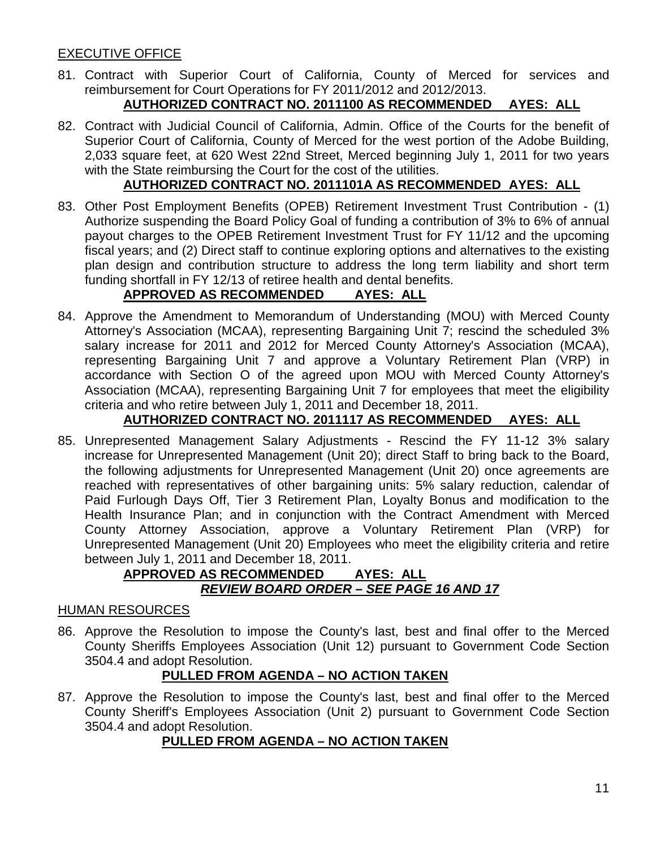# EXECUTIVE OFFICE

81. Contract with Superior Court of California, County of Merced for services and reimbursement for Court Operations for FY 2011/2012 and 2012/2013.

# **AUTHORIZED CONTRACT NO. 2011100 AS RECOMMENDED AYES: ALL**

82. Contract with Judicial Council of California, Admin. Office of the Courts for the benefit of Superior Court of California, County of Merced for the west portion of the Adobe Building, 2,033 square feet, at 620 West 22nd Street, Merced beginning July 1, 2011 for two years with the State reimbursing the Court for the cost of the utilities.

# **AUTHORIZED CONTRACT NO. 2011101A AS RECOMMENDED AYES: ALL**

83. Other Post Employment Benefits (OPEB) Retirement Investment Trust Contribution - (1) Authorize suspending the Board Policy Goal of funding a contribution of 3% to 6% of annual payout charges to the OPEB Retirement Investment Trust for FY 11/12 and the upcoming fiscal years; and (2) Direct staff to continue exploring options and alternatives to the existing plan design and contribution structure to address the long term liability and short term funding shortfall in FY 12/13 of retiree health and dental benefits.

# **APPROVED AS RECOMMENDED AYES: ALL**

84. Approve the Amendment to Memorandum of Understanding (MOU) with Merced County Attorney's Association (MCAA), representing Bargaining Unit 7; rescind the scheduled 3% salary increase for 2011 and 2012 for Merced County Attorney's Association (MCAA), representing Bargaining Unit 7 and approve a Voluntary Retirement Plan (VRP) in accordance with Section O of the agreed upon MOU with Merced County Attorney's Association (MCAA), representing Bargaining Unit 7 for employees that meet the eligibility criteria and who retire between July 1, 2011 and December 18, 2011.

# **AUTHORIZED CONTRACT NO. 2011117 AS RECOMMENDED AYES: ALL**

85. Unrepresented Management Salary Adjustments - Rescind the FY 11-12 3% salary increase for Unrepresented Management (Unit 20); direct Staff to bring back to the Board, the following adjustments for Unrepresented Management (Unit 20) once agreements are reached with representatives of other bargaining units: 5% salary reduction, calendar of Paid Furlough Days Off, Tier 3 Retirement Plan, Loyalty Bonus and modification to the Health Insurance Plan; and in conjunction with the Contract Amendment with Merced County Attorney Association, approve a Voluntary Retirement Plan (VRP) for Unrepresented Management (Unit 20) Employees who meet the eligibility criteria and retire between July 1, 2011 and December 18, 2011.

# **APPROVED AS RECOMMENDED AYES: ALL** *REVIEW BOARD ORDER – SEE PAGE 16 AND 17*

#### HUMAN RESOURCES

86. Approve the Resolution to impose the County's last, best and final offer to the Merced County Sheriffs Employees Association (Unit 12) pursuant to Government Code Section 3504.4 and adopt Resolution.

# **PULLED FROM AGENDA – NO ACTION TAKEN**

87. Approve the Resolution to impose the County's last, best and final offer to the Merced County Sheriff's Employees Association (Unit 2) pursuant to Government Code Section 3504.4 and adopt Resolution.

#### **PULLED FROM AGENDA – NO ACTION TAKEN**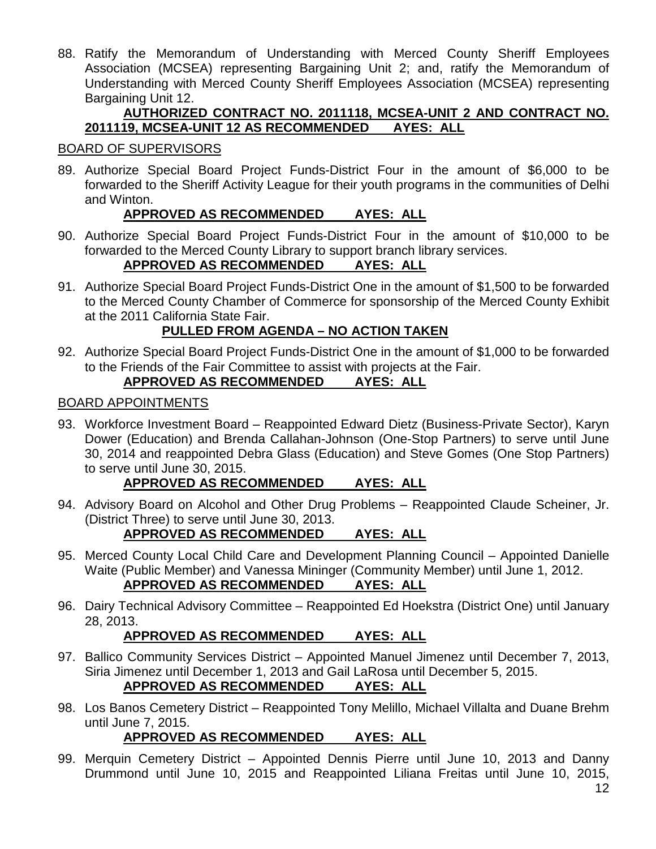88. Ratify the Memorandum of Understanding with Merced County Sheriff Employees Association (MCSEA) representing Bargaining Unit 2; and, ratify the Memorandum of Understanding with Merced County Sheriff Employees Association (MCSEA) representing Bargaining Unit 12.

#### **AUTHORIZED CONTRACT NO. 2011118, MCSEA-UNIT 2 AND CONTRACT NO. 2011119, MCSEA-UNIT 12 AS RECOMMENDED**

#### BOARD OF SUPERVISORS

89. Authorize Special Board Project Funds-District Four in the amount of \$6,000 to be forwarded to the Sheriff Activity League for their youth programs in the communities of Delhi and Winton.

# **APPROVED AS RECOMMENDED AYES: ALL**

90. Authorize Special Board Project Funds-District Four in the amount of \$10,000 to be forwarded to the Merced County Library to support branch library services.

#### **APPROVED AS RECOMMENDED AYES: ALL**

91. Authorize Special Board Project Funds-District One in the amount of \$1,500 to be forwarded to the Merced County Chamber of Commerce for sponsorship of the Merced County Exhibit at the 2011 California State Fair.

#### **PULLED FROM AGENDA – NO ACTION TAKEN**

92. Authorize Special Board Project Funds-District One in the amount of \$1,000 to be forwarded to the Friends of the Fair Committee to assist with projects at the Fair.

#### **APPROVED AS RECOMMENDED AYES: ALL**

#### BOARD APPOINTMENTS

93. Workforce Investment Board – Reappointed Edward Dietz (Business-Private Sector), Karyn Dower (Education) and Brenda Callahan-Johnson (One-Stop Partners) to serve until June 30, 2014 and reappointed Debra Glass (Education) and Steve Gomes (One Stop Partners) to serve until June 30, 2015.

#### **APPROVED AS RECOMMENDED AYES: ALL**

94. Advisory Board on Alcohol and Other Drug Problems – Reappointed Claude Scheiner, Jr. (District Three) to serve until June 30, 2013.

# **APPROVED AS RECOMMENDED AYES: ALL**

- 95. Merced County Local Child Care and Development Planning Council Appointed Danielle Waite (Public Member) and Vanessa Mininger (Community Member) until June 1, 2012. **APPROVED AS RECOMMENDED AYES: ALL**
- 96. Dairy Technical Advisory Committee Reappointed Ed Hoekstra (District One) until January 28, 2013.

#### **APPROVED AS RECOMMENDED AYES: ALL**

- 97. Ballico Community Services District Appointed Manuel Jimenez until December 7, 2013, Siria Jimenez until December 1, 2013 and Gail LaRosa until December 5, 2015. **APPROVED AS RECOMMENDED AYES: ALL**
- 98. Los Banos Cemetery District Reappointed Tony Melillo, Michael Villalta and Duane Brehm until June 7, 2015.

#### **APPROVED AS RECOMMENDED AYES: ALL**

99. Merquin Cemetery District – Appointed Dennis Pierre until June 10, 2013 and Danny Drummond until June 10, 2015 and Reappointed Liliana Freitas until June 10, 2015,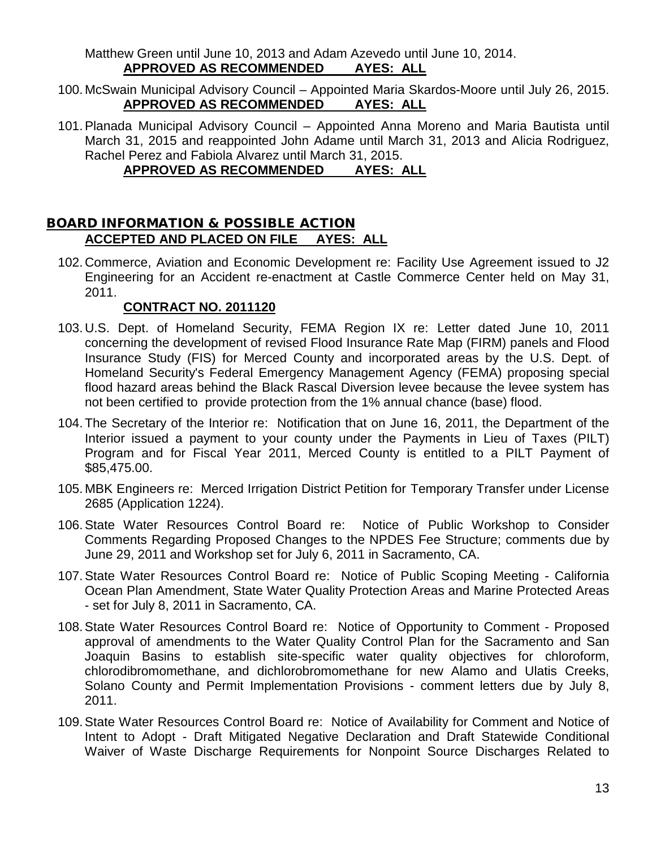Matthew Green until June 10, 2013 and Adam Azevedo until June 10, 2014. **APPROVED AS RECOMMENDED AYES: ALL**

- 100. McSwain Municipal Advisory Council Appointed Maria Skardos-Moore until July 26, 2015. **APPROVED AS RECOMMENDED AYES: ALL**
- 101.Planada Municipal Advisory Council Appointed Anna Moreno and Maria Bautista until March 31, 2015 and reappointed John Adame until March 31, 2013 and Alicia Rodriguez, Rachel Perez and Fabiola Alvarez until March 31, 2015.

# **APPROVED AS RECOMMENDED AYES: ALL**

#### BOARD INFORMATION & POSSIBLE ACTION **ACCEPTED AND PLACED ON FILE AYES: ALL**

102.Commerce, Aviation and Economic Development re: Facility Use Agreement issued to J2 Engineering for an Accident re-enactment at Castle Commerce Center held on May 31, 2011.

# **CONTRACT NO. 2011120**

- 103.U.S. Dept. of Homeland Security, FEMA Region IX re: Letter dated June 10, 2011 concerning the development of revised Flood Insurance Rate Map (FIRM) panels and Flood Insurance Study (FIS) for Merced County and incorporated areas by the U.S. Dept. of Homeland Security's Federal Emergency Management Agency (FEMA) proposing special flood hazard areas behind the Black Rascal Diversion levee because the levee system has not been certified to provide protection from the 1% annual chance (base) flood.
- 104.The Secretary of the Interior re: Notification that on June 16, 2011, the Department of the Interior issued a payment to your county under the Payments in Lieu of Taxes (PILT) Program and for Fiscal Year 2011, Merced County is entitled to a PILT Payment of \$85,475.00.
- 105. MBK Engineers re: Merced Irrigation District Petition for Temporary Transfer under License 2685 (Application 1224).
- 106.State Water Resources Control Board re: Notice of Public Workshop to Consider Comments Regarding Proposed Changes to the NPDES Fee Structure; comments due by June 29, 2011 and Workshop set for July 6, 2011 in Sacramento, CA.
- 107.State Water Resources Control Board re: Notice of Public Scoping Meeting California Ocean Plan Amendment, State Water Quality Protection Areas and Marine Protected Areas - set for July 8, 2011 in Sacramento, CA.
- 108.State Water Resources Control Board re: Notice of Opportunity to Comment Proposed approval of amendments to the Water Quality Control Plan for the Sacramento and San Joaquin Basins to establish site-specific water quality objectives for chloroform, chlorodibromomethane, and dichlorobromomethane for new Alamo and Ulatis Creeks, Solano County and Permit Implementation Provisions - comment letters due by July 8, 2011.
- 109.State Water Resources Control Board re: Notice of Availability for Comment and Notice of Intent to Adopt - Draft Mitigated Negative Declaration and Draft Statewide Conditional Waiver of Waste Discharge Requirements for Nonpoint Source Discharges Related to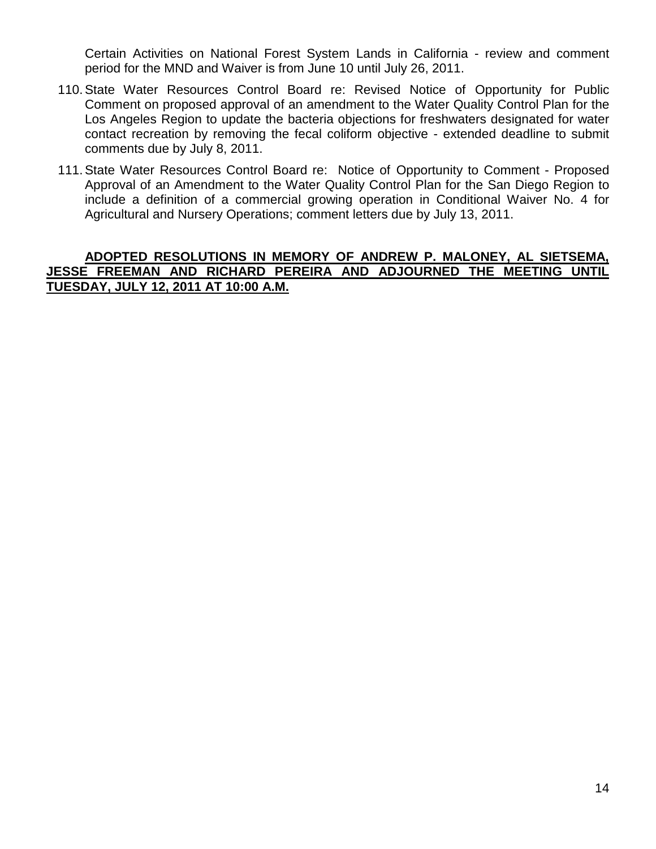Certain Activities on National Forest System Lands in California - review and comment period for the MND and Waiver is from June 10 until July 26, 2011.

- 110.State Water Resources Control Board re: Revised Notice of Opportunity for Public Comment on proposed approval of an amendment to the Water Quality Control Plan for the Los Angeles Region to update the bacteria objections for freshwaters designated for water contact recreation by removing the fecal coliform objective - extended deadline to submit comments due by July 8, 2011.
- 111.State Water Resources Control Board re: Notice of Opportunity to Comment Proposed Approval of an Amendment to the Water Quality Control Plan for the San Diego Region to include a definition of a commercial growing operation in Conditional Waiver No. 4 for Agricultural and Nursery Operations; comment letters due by July 13, 2011.

#### **ADOPTED RESOLUTIONS IN MEMORY OF ANDREW P. MALONEY, AL SIETSEMA, JESSE FREEMAN AND RICHARD PEREIRA AND ADJOURNED THE MEETING UNTIL TUESDAY, JULY 12, 2011 AT 10:00 A.M.**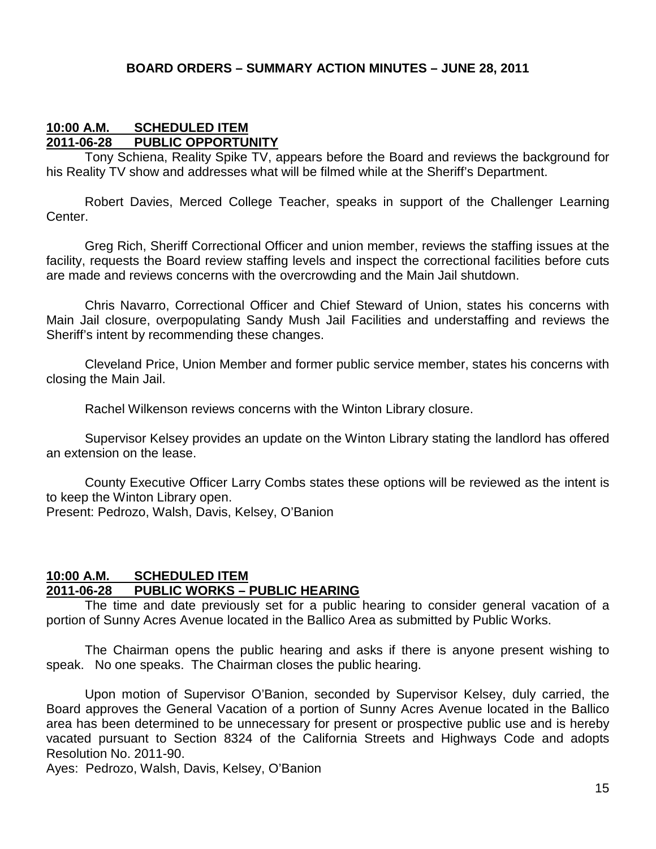#### **BOARD ORDERS – SUMMARY ACTION MINUTES – JUNE 28, 2011**

#### **10:00 A.M. SCHEDULED ITEM 2011-06-28 PUBLIC OPPORTUNITY**

Tony Schiena, Reality Spike TV, appears before the Board and reviews the background for his Reality TV show and addresses what will be filmed while at the Sheriff's Department.

Robert Davies, Merced College Teacher, speaks in support of the Challenger Learning Center.

Greg Rich, Sheriff Correctional Officer and union member, reviews the staffing issues at the facility, requests the Board review staffing levels and inspect the correctional facilities before cuts are made and reviews concerns with the overcrowding and the Main Jail shutdown.

Chris Navarro, Correctional Officer and Chief Steward of Union, states his concerns with Main Jail closure, overpopulating Sandy Mush Jail Facilities and understaffing and reviews the Sheriff's intent by recommending these changes.

Cleveland Price, Union Member and former public service member, states his concerns with closing the Main Jail.

Rachel Wilkenson reviews concerns with the Winton Library closure.

Supervisor Kelsey provides an update on the Winton Library stating the landlord has offered an extension on the lease.

County Executive Officer Larry Combs states these options will be reviewed as the intent is to keep the Winton Library open.

Present: Pedrozo, Walsh, Davis, Kelsey, O'Banion

#### **10:00 A.M. SCHEDULED ITEM 2011-06-28 PUBLIC WORKS – PUBLIC HEARING**

The time and date previously set for a public hearing to consider general vacation of a portion of Sunny Acres Avenue located in the Ballico Area as submitted by Public Works.

The Chairman opens the public hearing and asks if there is anyone present wishing to speak. No one speaks. The Chairman closes the public hearing.

Upon motion of Supervisor O'Banion, seconded by Supervisor Kelsey, duly carried, the Board approves the General Vacation of a portion of Sunny Acres Avenue located in the Ballico area has been determined to be unnecessary for present or prospective public use and is hereby vacated pursuant to Section 8324 of the California Streets and Highways Code and adopts Resolution No. 2011-90.

Ayes: Pedrozo, Walsh, Davis, Kelsey, O'Banion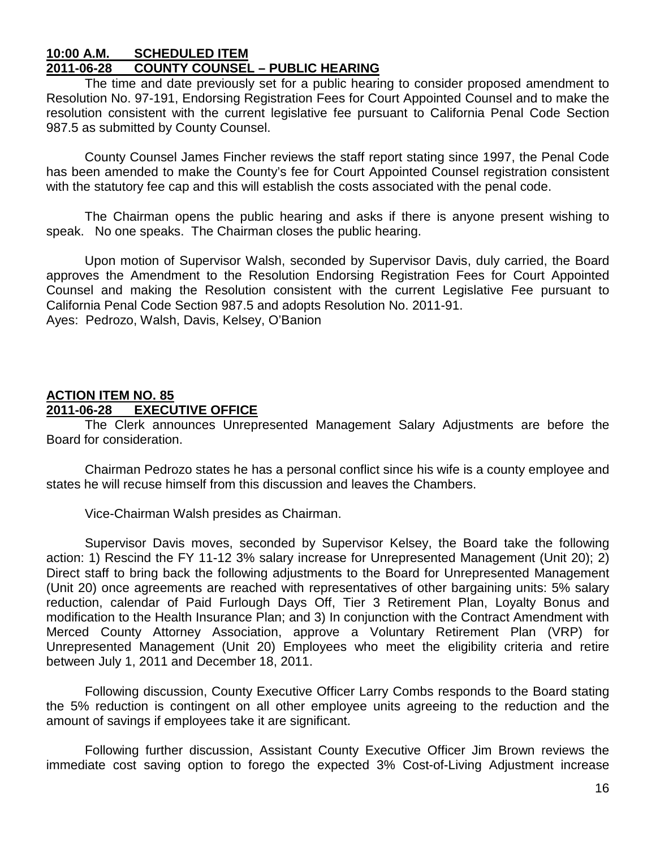#### **10:00 A.M. SCHEDULED ITEM 2011-06-28 COUNTY COUNSEL – PUBLIC HEARING**

The time and date previously set for a public hearing to consider proposed amendment to Resolution No. 97-191, Endorsing Registration Fees for Court Appointed Counsel and to make the resolution consistent with the current legislative fee pursuant to California Penal Code Section 987.5 as submitted by County Counsel.

County Counsel James Fincher reviews the staff report stating since 1997, the Penal Code has been amended to make the County's fee for Court Appointed Counsel registration consistent with the statutory fee cap and this will establish the costs associated with the penal code.

The Chairman opens the public hearing and asks if there is anyone present wishing to speak. No one speaks. The Chairman closes the public hearing.

Upon motion of Supervisor Walsh, seconded by Supervisor Davis, duly carried, the Board approves the Amendment to the Resolution Endorsing Registration Fees for Court Appointed Counsel and making the Resolution consistent with the current Legislative Fee pursuant to California Penal Code Section 987.5 and adopts Resolution No. 2011-91. Ayes: Pedrozo, Walsh, Davis, Kelsey, O'Banion

# **ACTION ITEM NO. 85 2011-06-28 EXECUTIVE OFFICE**

The Clerk announces Unrepresented Management Salary Adjustments are before the Board for consideration.

Chairman Pedrozo states he has a personal conflict since his wife is a county employee and states he will recuse himself from this discussion and leaves the Chambers.

Vice-Chairman Walsh presides as Chairman.

Supervisor Davis moves, seconded by Supervisor Kelsey, the Board take the following action: 1) Rescind the FY 11-12 3% salary increase for Unrepresented Management (Unit 20); 2) Direct staff to bring back the following adjustments to the Board for Unrepresented Management (Unit 20) once agreements are reached with representatives of other bargaining units: 5% salary reduction, calendar of Paid Furlough Days Off, Tier 3 Retirement Plan, Loyalty Bonus and modification to the Health Insurance Plan; and 3) In conjunction with the Contract Amendment with Merced County Attorney Association, approve a Voluntary Retirement Plan (VRP) for Unrepresented Management (Unit 20) Employees who meet the eligibility criteria and retire between July 1, 2011 and December 18, 2011.

Following discussion, County Executive Officer Larry Combs responds to the Board stating the 5% reduction is contingent on all other employee units agreeing to the reduction and the amount of savings if employees take it are significant.

Following further discussion, Assistant County Executive Officer Jim Brown reviews the immediate cost saving option to forego the expected 3% Cost-of-Living Adjustment increase